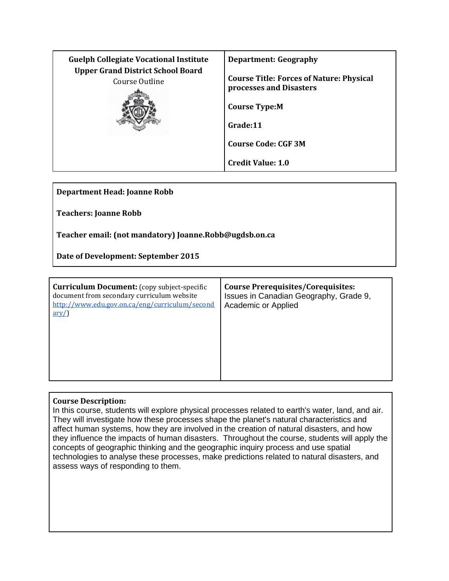| <b>Guelph Collegiate Vocational Institute</b><br><b>Upper Grand District School Board</b> | <b>Department: Geography</b>                                               |
|-------------------------------------------------------------------------------------------|----------------------------------------------------------------------------|
| Course Outline                                                                            | <b>Course Title: Forces of Nature: Physical</b><br>processes and Disasters |
|                                                                                           | <b>Course Type:M</b>                                                       |
|                                                                                           | Grade:11                                                                   |
|                                                                                           | <b>Course Code: CGF 3M</b>                                                 |
|                                                                                           | <b>Credit Value: 1.0</b>                                                   |

**Department Head: Joanne Robb**

**Teachers: Joanne Robb**

**Teacher email: (not mandatory) Joanne.Robb@ugdsb.on.ca**

**Date of Development: September 2015**

| <b>Curriculum Document:</b> (copy subject-specific<br>document from secondary curriculum website<br>http://www.edu.gov.on.ca/eng/curriculum/second<br>$\frac{\text{arv}}{\text{c}}$ | <b>Course Prerequisites/Corequisites:</b><br>Issues in Canadian Geography, Grade 9,<br>Academic or Applied |
|-------------------------------------------------------------------------------------------------------------------------------------------------------------------------------------|------------------------------------------------------------------------------------------------------------|
|                                                                                                                                                                                     |                                                                                                            |

# **Course Description:**

In this course, students will explore physical processes related to earth's water, land, and air. They will investigate how these processes shape the planet's natural characteristics and affect human systems, how they are involved in the creation of natural disasters, and how they influence the impacts of human disasters. Throughout the course, students will apply the concepts of geographic thinking and the geographic inquiry process and use spatial technologies to analyse these processes, make predictions related to natural disasters, and assess ways of responding to them.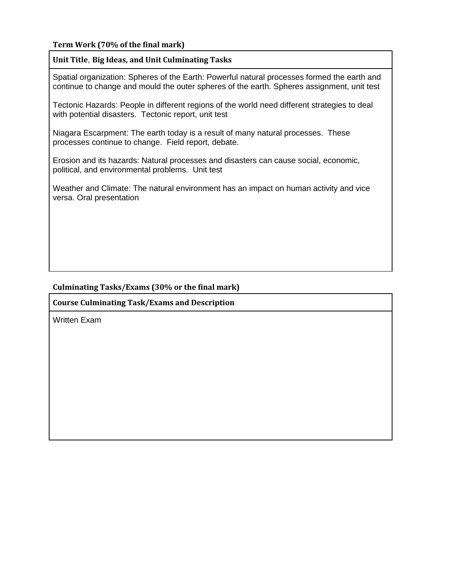# **Term Work (70% of the final mark)**

### **Unit Title**, **Big Ideas, and Unit Culminating Tasks**

Spatial organization: Spheres of the Earth: Powerful natural processes formed the earth and continue to change and mould the outer spheres of the earth. Spheres assignment, unit test

Tectonic Hazards: People in different regions of the world need different strategies to deal with potential disasters. Tectonic report, unit test

Niagara Escarpment: The earth today is a result of many natural processes. These processes continue to change. Field report, debate.

Erosion and its hazards: Natural processes and disasters can cause social, economic, political, and environmental problems. Unit test

Weather and Climate: The natural environment has an impact on human activity and vice versa. Oral presentation

### **Culminating Tasks/Exams (30% or the final mark)**

**Course Culminating Task/Exams and Description**

Written Exam